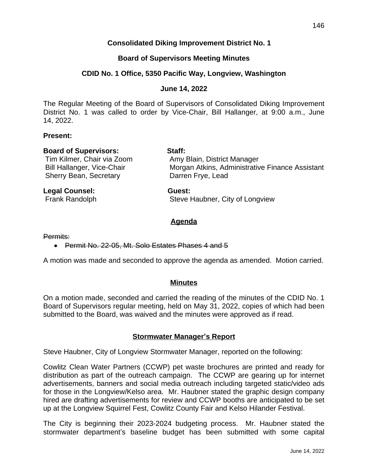## **Consolidated Diking Improvement District No. 1**

## **Board of Supervisors Meeting Minutes**

### **CDID No. 1 Office, 5350 Pacific Way, Longview, Washington**

#### **June 14, 2022**

The Regular Meeting of the Board of Supervisors of Consolidated Diking Improvement District No. 1 was called to order by Vice-Chair, Bill Hallanger, at 9:00 a.m., June 14, 2022.

#### **Present:**

| <b>Board of Supervisors:</b><br>Tim Kilmer, Chair via Zoom | Staff:<br>Amy Blain, District Manager |
|------------------------------------------------------------|---------------------------------------|
|                                                            |                                       |
| <b>Sherry Bean, Secretary</b>                              | Darren Frye, Lead                     |
| Legal Counsel:                                             | Guest:                                |

Frank Randolph Steve Haubner, City of Longview

#### **Agenda**

Permits:

● Permit No. 22-05, Mt. Solo Estates Phases 4 and 5

A motion was made and seconded to approve the agenda as amended. Motion carried.

#### **Minutes**

On a motion made, seconded and carried the reading of the minutes of the CDID No. 1 Board of Supervisors regular meeting, held on May 31, 2022, copies of which had been submitted to the Board, was waived and the minutes were approved as if read.

## **Stormwater Manager's Report**

Steve Haubner, City of Longview Stormwater Manager, reported on the following:

Cowlitz Clean Water Partners (CCWP) pet waste brochures are printed and ready for distribution as part of the outreach campaign. The CCWP are gearing up for internet advertisements, banners and social media outreach including targeted static/video ads for those in the Longview/Kelso area. Mr. Haubner stated the graphic design company hired are drafting advertisements for review and CCWP booths are anticipated to be set up at the Longview Squirrel Fest, Cowlitz County Fair and Kelso Hilander Festival.

The City is beginning their 2023-2024 budgeting process. Mr. Haubner stated the stormwater department's baseline budget has been submitted with some capital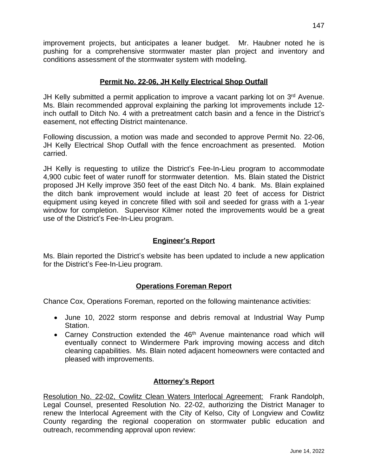improvement projects, but anticipates a leaner budget. Mr. Haubner noted he is pushing for a comprehensive stormwater master plan project and inventory and conditions assessment of the stormwater system with modeling.

## **Permit No. 22-06, JH Kelly Electrical Shop Outfall**

JH Kelly submitted a permit application to improve a vacant parking lot on 3<sup>rd</sup> Avenue. Ms. Blain recommended approval explaining the parking lot improvements include 12 inch outfall to Ditch No. 4 with a pretreatment catch basin and a fence in the District's easement, not effecting District maintenance.

Following discussion, a motion was made and seconded to approve Permit No. 22-06, JH Kelly Electrical Shop Outfall with the fence encroachment as presented. Motion carried.

JH Kelly is requesting to utilize the District's Fee-In-Lieu program to accommodate 4,900 cubic feet of water runoff for stormwater detention. Ms. Blain stated the District proposed JH Kelly improve 350 feet of the east Ditch No. 4 bank. Ms. Blain explained the ditch bank improvement would include at least 20 feet of access for District equipment using keyed in concrete filled with soil and seeded for grass with a 1-year window for completion. Supervisor Kilmer noted the improvements would be a great use of the District's Fee-In-Lieu program.

## **Engineer's Report**

Ms. Blain reported the District's website has been updated to include a new application for the District's Fee-In-Lieu program.

# **Operations Foreman Report**

Chance Cox, Operations Foreman, reported on the following maintenance activities:

- June 10, 2022 storm response and debris removal at Industrial Way Pump Station.
- Carney Construction extended the 46<sup>th</sup> Avenue maintenance road which will eventually connect to Windermere Park improving mowing access and ditch cleaning capabilities. Ms. Blain noted adjacent homeowners were contacted and pleased with improvements.

## **Attorney's Report**

Resolution No. 22-02, Cowlitz Clean Waters Interlocal Agreement: Frank Randolph, Legal Counsel, presented Resolution No. 22-02, authorizing the District Manager to renew the Interlocal Agreement with the City of Kelso, City of Longview and Cowlitz County regarding the regional cooperation on stormwater public education and outreach, recommending approval upon review: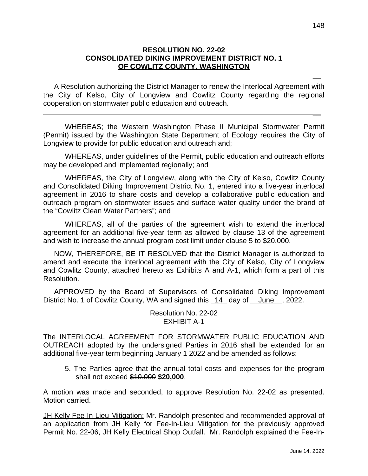### **RESOLUTION NO. 22-02 CONSOLIDATED DIKING IMPROVEMENT DISTRICT NO. 1 OF COWLITZ COUNTY, WASHINGTON**

\_\_

A Resolution authorizing the District Manager to renew the Interlocal Agreement with the City of Kelso, City of Longview and Cowlitz County regarding the regional cooperation on stormwater public education and outreach.

\_\_

WHEREAS; the Western Washington Phase II Municipal Stormwater Permit (Permit) issued by the Washington State Department of Ecology requires the City of Longview to provide for public education and outreach and;

WHEREAS, under guidelines of the Permit, public education and outreach efforts may be developed and implemented regionally; and

WHEREAS, the City of Longview, along with the City of Kelso, Cowlitz County and Consolidated Diking Improvement District No. 1, entered into a five-year interlocal agreement in 2016 to share costs and develop a collaborative public education and outreach program on stormwater issues and surface water quality under the brand of the "Cowlitz Clean Water Partners"; and

WHEREAS, all of the parties of the agreement wish to extend the interlocal agreement for an additional five-year term as allowed by clause 13 of the agreement and wish to increase the annual program cost limit under clause 5 to \$20,000.

NOW, THEREFORE, BE IT RESOLVED that the District Manager is authorized to amend and execute the interlocal agreement with the City of Kelso, City of Longview and Cowlitz County, attached hereto as Exhibits A and A-1, which form a part of this Resolution.

APPROVED by the Board of Supervisors of Consolidated Diking Improvement District No. 1 of Cowlitz County, WA and signed this 14 day of June, 2022.

> Resolution No. 22-02 EXHIBIT A-1

The INTERLOCAL AGREEMENT FOR STORMWATER PUBLIC EDUCATION AND OUTREACH adopted by the undersigned Parties in 2016 shall be extended for an additional five-year term beginning January 1 2022 and be amended as follows:

5. The Parties agree that the annual total costs and expenses for the program shall not exceed \$10,000 **\$20,000**.

A motion was made and seconded, to approve Resolution No. 22-02 as presented. Motion carried.

JH Kelly Fee-In-Lieu Mitigation: Mr. Randolph presented and recommended approval of an application from JH Kelly for Fee-In-Lieu Mitigation for the previously approved Permit No. 22-06, JH Kelly Electrical Shop Outfall. Mr. Randolph explained the Fee-In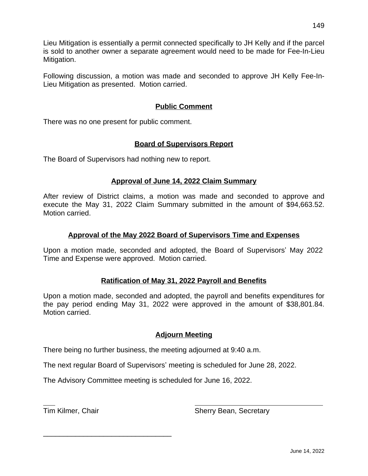Lieu Mitigation is essentially a permit connected specifically to JH Kelly and if the parcel is sold to another owner a separate agreement would need to be made for Fee-In-Lieu Mitigation.

Following discussion, a motion was made and seconded to approve JH Kelly Fee-In-Lieu Mitigation as presented. Motion carried.

# **Public Comment**

There was no one present for public comment.

# **Board of Supervisors Report**

The Board of Supervisors had nothing new to report.

## **Approval of June 14, 2022 Claim Summary**

After review of District claims, a motion was made and seconded to approve and execute the May 31, 2022 Claim Summary submitted in the amount of \$94,663.52. Motion carried.

## **Approval of the May 2022 Board of Supervisors Time and Expenses**

Upon a motion made, seconded and adopted, the Board of Supervisors' May 2022 Time and Expense were approved. Motion carried.

# **Ratification of May 31, 2022 Payroll and Benefits**

Upon a motion made, seconded and adopted, the payroll and benefits expenditures for the pay period ending May 31, 2022 were approved in the amount of \$38,801.84. Motion carried.

# **Adjourn Meeting**

There being no further business, the meeting adjourned at 9:40 a.m.

The next regular Board of Supervisors' meeting is scheduled for June 28, 2022.

The Advisory Committee meeting is scheduled for June 16, 2022.

 $\overline{a}$ 

\_\_\_\_\_\_\_\_\_\_\_\_\_\_\_\_\_\_\_\_\_\_\_\_\_\_\_\_\_\_\_\_

Tim Kilmer, Chair Sherry Bean, Secretary